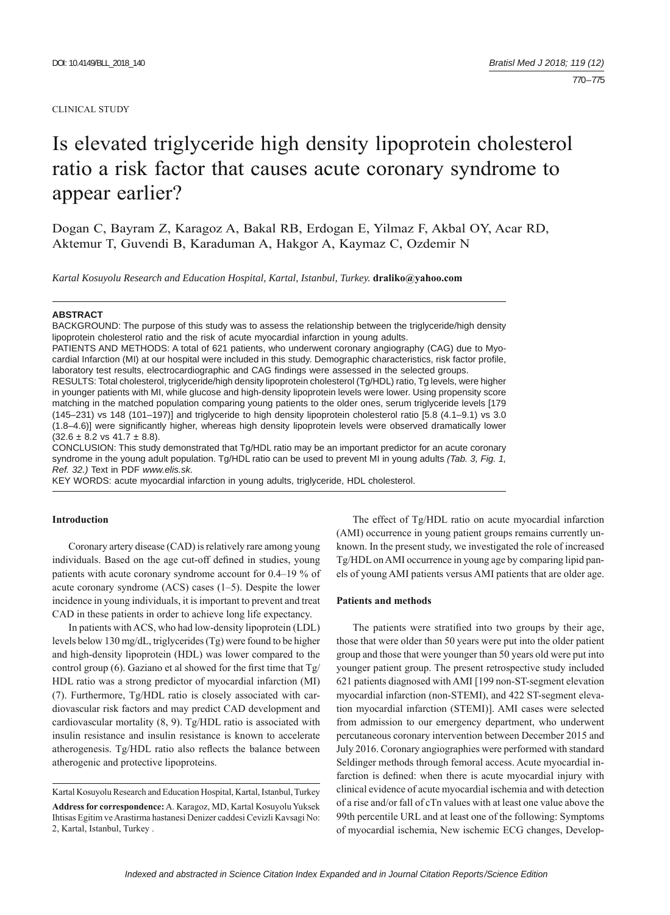#### CLINICAL STUDY

# Is elevated triglyceride high density lipoprotein cholesterol ratio a risk factor that causes acute coronary syndrome to appear earlier?

Dogan C, Bayram Z, Karagoz A, Bakal RB, Erdogan E, Yilmaz F, Akbal OY, Acar RD, Aktemur T, Guvendi B, Karaduman A, Hakgor A, Kaymaz C, Ozdemir N

*Kartal Kosuyolu Research and Education Hospital, Kartal, Istanbul, Turkey.* **draliko@yahoo.com**

#### **ABSTRACT**

BACKGROUND: The purpose of this study was to assess the relationship between the triglyceride/high density lipoprotein cholesterol ratio and the risk of acute myocardial infarction in young adults.

PATIENTS AND METHODS: A total of 621 patients, who underwent coronary angiography (CAG) due to Myocardial Infarction (MI) at our hospital were included in this study. Demographic characteristics, risk factor profile, laboratory test results, electrocardiographic and CAG findings were assessed in the selected groups.

RESULTS: Total cholesterol, triglyceride/high density lipoprotein cholesterol (Tg/HDL) ratio, Tg levels, were higher in younger patients with MI, while glucose and high-density lipoprotein levels were lower. Using propensity score matching in the matched population comparing young patients to the older ones, serum triglyceride levels [179 (145–231) vs 148 (101–197)] and triglyceride to high density lipoprotein cholesterol ratio [5.8 (4.1–9.1) vs 3.0 (1.8–4.6)] were significantly higher, whereas high density lipoprotein levels were observed dramatically lower  $(32.6 \pm 8.2 \text{ vs } 41.7 \pm 8.8).$ 

CONCLUSION: This study demonstrated that Tg/HDL ratio may be an important predictor for an acute coronary syndrome in the young adult population. Tg/HDL ratio can be used to prevent MI in young adults *(Tab. 3, Fig. 1, Ref. 32.)* Text in PDF *www.elis.sk.*

KEY WORDS: acute myocardial infarction in young adults, triglyceride, HDL cholesterol.

## **Introduction**

Coronary artery disease (CAD) is relatively rare among young individuals. Based on the age cut-off defined in studies, young patients with acute coronary syndrome account for 0.4–19 % of acute coronary syndrome (ACS) cases (1–5). Despite the lower incidence in young individuals, it is important to prevent and treat CAD in these patients in order to achieve long life expectancy.

In patients with ACS, who had low-density lipoprotein (LDL) levels below 130 mg/dL, triglycerides (Tg) were found to be higher and high-density lipoprotein (HDL) was lower compared to the control group (6). Gaziano et al showed for the first time that  $Tg/$ HDL ratio was a strong predictor of myocardial infarction (MI) (7). Furthermore, Tg/HDL ratio is closely associated with cardiovascular risk factors and may predict CAD development and cardiovascular mortality (8, 9). Tg/HDL ratio is associated with insulin resistance and insulin resistance is known to accelerate atherogenesis. Tg/HDL ratio also reflects the balance between atherogenic and protective lipoproteins.

The effect of Tg/HDL ratio on acute myocardial infarction (AMI) occurrence in young patient groups remains currently unknown. In the present study, we investigated the role of increased Tg/HDL on AMI occurrence in young age by comparing lipid panels of young AMI patients versus AMI patients that are older age.

#### **Patients and methods**

The patients were stratified into two groups by their age, those that were older than 50 years were put into the older patient group and those that were younger than 50 years old were put into younger patient group. The present retrospective study included 621 patients diagnosed with AMI [199 non-ST-segment elevation myocardial infarction (non-STEMI), and 422 ST-segment elevation myocardial infarction (STEMI)]. AMI cases were selected from admission to our emergency department, who underwent percutaneous coronary intervention between December 2015 and July 2016. Coronary angiographies were performed with standard Seldinger methods through femoral access. Acute myocardial infarction is defined: when there is acute myocardial injury with clinical evidence of acute myocardial ischemia and with detection of a rise and/or fall of cTn values with at least one value above the 99th percentile URL and at least one of the following: Symptoms of myocardial ischemia, New ischemic ECG changes, Develop-

Kartal Kosuyolu Research and Education Hospital, Kartal, Istanbul, Turkey **Address for correspondence:** A. Karagoz, MD, Kartal Kosuyolu Yuksek Ihtisas Egitim ve Arastirma hastanesi Denizer caddesi Cevizli Kavsagi No: 2, Kartal, Istanbul, Turkey .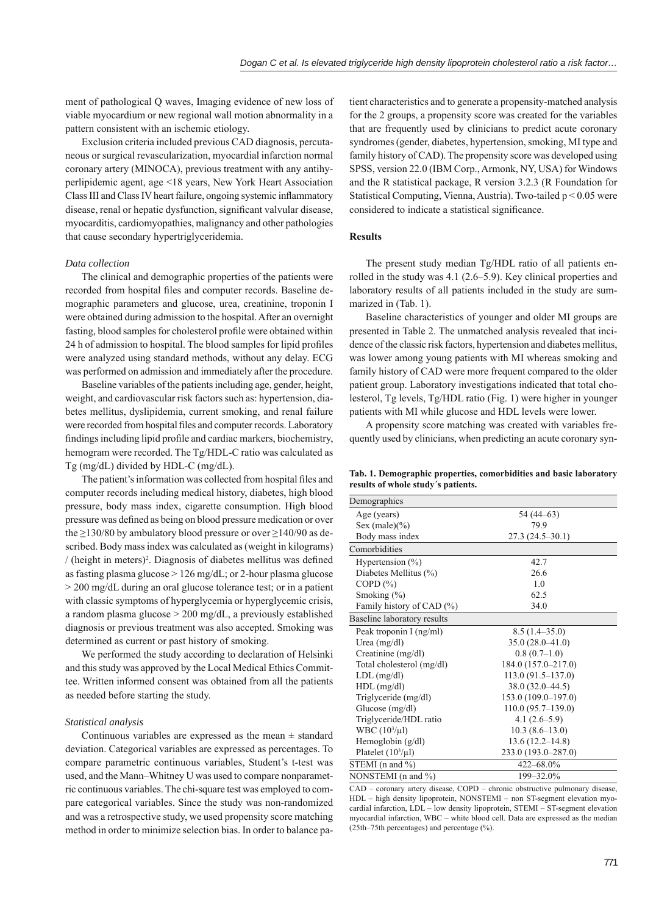ment of pathological Q waves, Imaging evidence of new loss of viable myocardium or new regional wall motion abnormality in a pattern consistent with an ischemic etiology.

Exclusion criteria included previous CAD diagnosis, percutaneous or surgical revascularization, myocardial infarction normal coronary artery (MINOCA), previous treatment with any antihyperlipidemic agent, age <18 years, New York Heart Association Class III and Class IV heart failure, ongoing systemic inflammatory disease, renal or hepatic dysfunction, significant valvular disease. myocarditis, cardiomyopathies, malignancy and other pathologies that cause secondary hypertriglyceridemia.

#### *Data collection*

The clinical and demographic properties of the patients were recorded from hospital files and computer records. Baseline demographic parameters and glucose, urea, creatinine, troponin I were obtained during admission to the hospital. After an overnight fasting, blood samples for cholesterol profile were obtained within 24 h of admission to hospital. The blood samples for lipid profiles were analyzed using standard methods, without any delay. ECG was performed on admission and immediately after the procedure.

Baseline variables of the patients including age, gender, height, weight, and cardiovascular risk factors such as: hypertension, diabetes mellitus, dyslipidemia, current smoking, and renal failure were recorded from hospital files and computer records. Laboratory findings including lipid profile and cardiac markers, biochemistry, hemogram were recorded. The Tg/HDL-C ratio was calculated as Tg (mg/dL) divided by HDL-C (mg/dL).

The patient's information was collected from hospital files and computer records including medical history, diabetes, high blood pressure, body mass index, cigarette consumption. High blood pressure was defined as being on blood pressure medication or over the  $\geq$ 130/80 by ambulatory blood pressure or over  $\geq$ 140/90 as described. Body mass index was calculated as (weight in kilograms)  $/$  (height in meters)<sup>2</sup>. Diagnosis of diabetes mellitus was defined as fasting plasma glucose  $> 126$  mg/dL; or 2-hour plasma glucose > 200 mg/dL during an oral glucose tolerance test; or in a patient with classic symptoms of hyperglycemia or hyperglycemic crisis, a random plasma glucose > 200 mg/dL, a previously established diagnosis or previous treatment was also accepted. Smoking was determined as current or past history of smoking.

We performed the study according to declaration of Helsinki and this study was approved by the Local Medical Ethics Committee. Written informed consent was obtained from all the patients as needed before starting the study.

### *Statistical analysis*

Continuous variables are expressed as the mean  $\pm$  standard deviation. Categorical variables are expressed as percentages. To compare parametric continuous variables, Student's t-test was used, and the Mann–Whitney U was used to compare nonparametric continuous variables. The chi-square test was employed to compare categorical variables. Since the study was non-randomized and was a retrospective study, we used propensity score matching method in order to minimize selection bias. In order to balance patient characteristics and to generate a propensity-matched analysis for the 2 groups, a propensity score was created for the variables that are frequently used by clinicians to predict acute coronary syndromes (gender, diabetes, hypertension, smoking, MI type and family history of CAD). The propensity score was developed using SPSS, version 22.0 (IBM Corp., Armonk, NY, USA) for Windows and the R statistical package, R version 3.2.3 (R Foundation for Statistical Computing, Vienna, Austria). Two-tailed p < 0.05 were considered to indicate a statistical significance.

### **Results**

The present study median Tg/HDL ratio of all patients enrolled in the study was 4.1 (2.6–5.9). Key clinical properties and laboratory results of all patients included in the study are summarized in (Tab. 1).

Baseline characteristics of younger and older MI groups are presented in Table 2. The unmatched analysis revealed that incidence of the classic risk factors, hypertension and diabetes mellitus, was lower among young patients with MI whereas smoking and family history of CAD were more frequent compared to the older patient group. Laboratory investigations indicated that total cholesterol, Tg levels, Tg/HDL ratio (Fig. 1) were higher in younger patients with MI while glucose and HDL levels were lower.

A propensity score matching was created with variables frequently used by clinicians, when predicting an acute coronary syn-

**Tab. 1. Demographic properties, comorbidities and basic laboratory results of whole study´s patients.**

| Demographics                |                     |  |  |  |  |
|-----------------------------|---------------------|--|--|--|--|
| Age (years)                 | 54 (44–63)          |  |  |  |  |
| Sex (male) $(\% )$          | 79.9                |  |  |  |  |
| Body mass index             | $27.3(24.5-30.1)$   |  |  |  |  |
| Comorbidities               |                     |  |  |  |  |
| Hypertension $(\% )$        | 42.7                |  |  |  |  |
| Diabetes Mellitus (%)       | 26.6                |  |  |  |  |
| COPD $(\% )$                | 1.0                 |  |  |  |  |
| Smoking $(\% )$             | 62.5                |  |  |  |  |
| Family history of CAD (%)   | 34.0                |  |  |  |  |
| Baseline laboratory results |                     |  |  |  |  |
| Peak troponin I (ng/ml)     | $8.5(1.4-35.0)$     |  |  |  |  |
| Urea $(mg/dl)$              | $35.0(28.0 - 41.0)$ |  |  |  |  |
| Creatinine (mg/dl)          | $0.8(0.7-1.0)$      |  |  |  |  |
| Total cholesterol (mg/dl)   | 184.0 (157.0-217.0) |  |  |  |  |
| $LDL$ (mg/dl)               | $113.0(91.5-137.0)$ |  |  |  |  |
| $HDL$ (mg/dl)               | 38.0 (32.0–44.5)    |  |  |  |  |
| Triglyceride (mg/dl)        | 153.0 (109.0-197.0) |  |  |  |  |
| Glucose $(mg/dl)$           | 110.0 (95.7–139.0)  |  |  |  |  |
| Triglyceride/HDL ratio      | $4.1(2.6-5.9)$      |  |  |  |  |
| WBC $(10^3/\mu l)$          | $10.3(8.6-13.0)$    |  |  |  |  |
| Hemoglobin $(g/dl)$         | $13.6(12.2 - 14.8)$ |  |  |  |  |
| Platelet $(10^3/\mu l)$     | 233.0 (193.0-287.0) |  |  |  |  |
| STEMI (n and %)             | 422-68.0%           |  |  |  |  |
| NONSTEMI (n and %)          | 199-32.0%           |  |  |  |  |

CAD – coronary artery disease, COPD – chronic obstructive pulmonary disease, HDL – high density lipoprotein, NONSTEMI – non ST-segment elevation myocardial infarction, LDL – low density lipoprotein, STEMI – ST-segment elevation myocardial infarction, WBC – white blood cell. Data are expressed as the median (25th–75th percentages) and percentage (%).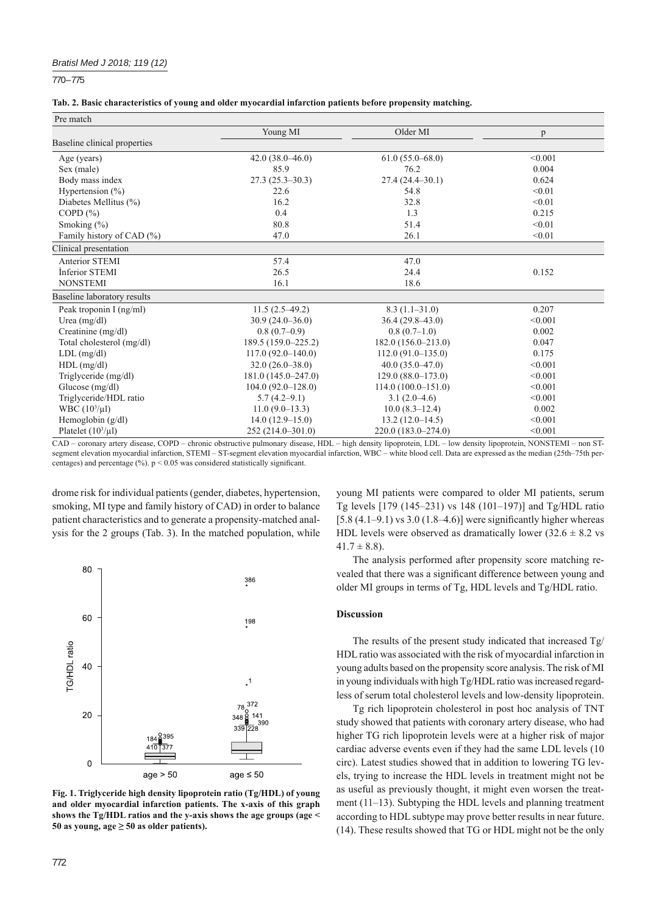## *Bratisl Med J 2018; 119 (12)*

770 – 775

|  | Tab. 2. Basic characteristics of young and older myocardial infarction patients before propensity matching. |  |  |  |
|--|-------------------------------------------------------------------------------------------------------------|--|--|--|
|  |                                                                                                             |  |  |  |

| Pre match                    |                       |                      |         |
|------------------------------|-----------------------|----------------------|---------|
|                              | Young MI              | Older MI             | p       |
| Baseline clinical properties |                       |                      |         |
| Age (years)                  | $42.0(38.0-46.0)$     | $61.0(55.0 - 68.0)$  | < 0.001 |
| Sex (male)                   | 85.9                  | 76.2                 | 0.004   |
| Body mass index              | $27.3(25.3-30.3)$     | $27.4(24.4-30.1)$    | 0.624   |
| Hypertension $(\% )$         | 22.6                  | 54.8                 | < 0.01  |
| Diabetes Mellitus (%)        | 16.2                  | 32.8                 | < 0.01  |
| COPD $(\% )$                 | 0.4                   | 1.3                  | 0.215   |
| Smoking $(\% )$              | 80.8                  | 51.4                 | < 0.01  |
| Family history of CAD (%)    | 47.0                  | 26.1                 | < 0.01  |
| Clinical presentation        |                       |                      |         |
| <b>Anterior STEMI</b>        | 57.4                  | 47.0                 |         |
| Inferior STEMI               | 26.5                  | 24.4                 | 0.152   |
| <b>NONSTEMI</b>              | 16.1                  | 18.6                 |         |
| Baseline laboratory results  |                       |                      |         |
| Peak troponin I (ng/ml)      | $11.5(2.5-49.2)$      | $8.3(1.1-31.0)$      | 0.207   |
| Urea $(mg/dl)$               | $30.9(24.0 - 36.0)$   | $36.4(29.8-43.0)$    | < 0.001 |
| Creatinine (mg/dl)           | $0.8(0.7-0.9)$        | $0.8(0.7-1.0)$       | 0.002   |
| Total cholesterol (mg/dl)    | 189.5 (159.0-225.2)   | 182.0 (156.0-213.0)  | 0.047   |
| $LDL$ (mg/dl)                | $117.0(92.0 - 140.0)$ | $112.0(91.0-135.0)$  | 0.175   |
| $HDL$ (mg/dl)                | $32.0(26.0 - 38.0)$   | $40.0(35.0-47.0)$    | < 0.001 |
| Triglyceride (mg/dl)         | 181.0 (145.0-247.0)   | $129.0(88.0-173.0)$  | < 0.001 |
| Glucose $(mg/dl)$            | $104.0(92.0 - 128.0)$ | $114.0(100.0-151.0)$ | < 0.001 |
| Triglyceride/HDL ratio       | $5.7(4.2 - 9.1)$      | $3.1(2.0-4.6)$       | < 0.001 |
| WBC $(10^3/\mu l)$           | $11.0(9.0-13.3)$      | $10.0(8.3-12.4)$     | 0.002   |
| Hemoglobin (g/dl)            | $14.0(12.9-15.0)$     | $13.2(12.0-14.5)$    | < 0.001 |
| Platelet $(10^3/\mu l)$      | 252 (214.0-301.0)     | 220.0 (183.0-274.0)  | < 0.001 |

CAD – coronary artery disease, COPD – chronic obstructive pulmonary disease, HDL – high density lipoprotein, LDL – low density lipoprotein, NONSTEMI – non STsegment elevation myocardial infarction, STEMI – ST-segment elevation myocardial infarction, WBC – white blood cell. Data are expressed as the median (25th–75th percentages) and percentage (%).  $p < 0.05$  was considered statistically significant.

drome risk for individual patients (gender, diabetes, hypertension, smoking, MI type and family history of CAD) in order to balance patient characteristics and to generate a propensity-matched analysis for the 2 groups (Tab. 3). In the matched population, while



**Fig. 1. Triglyceride high density lipoprotein ratio (Tg/HDL) of young and older myocardial infarction patients. The x-axis of this graph shows the Tg/HDL ratios and the y-axis shows the age groups (age <**  50 as young,  $\text{age} \geq 50$  as older patients).

young MI patients were compared to older MI patients, serum Tg levels [179 (145–231) vs 148 (101–197)] and Tg/HDL ratio  $[5.8 (4.1–9.1)$  vs 3.0  $(1.8–4.6)$ ] were significantly higher whereas HDL levels were observed as dramatically lower  $(32.6 \pm 8.2 \text{ vs } 10^{-12})$  $41.7 \pm 8.8$ ).

The analysis performed after propensity score matching revealed that there was a significant difference between young and older MI groups in terms of Tg, HDL levels and Tg/HDL ratio.

# **Discussion**

The results of the present study indicated that increased Tg/ HDL ratio was associated with the risk of myocardial infarction in young adults based on the propensity score analysis. The risk of MI in young individuals with high Tg/HDL ratio was increased regardless of serum total cholesterol levels and low-density lipoprotein.

Tg rich lipoprotein cholesterol in post hoc analysis of TNT study showed that patients with coronary artery disease, who had higher TG rich lipoprotein levels were at a higher risk of major cardiac adverse events even if they had the same LDL levels (10 circ). Latest studies showed that in addition to lowering TG levels, trying to increase the HDL levels in treatment might not be as useful as previously thought, it might even worsen the treatment (11–13). Subtyping the HDL levels and planning treatment according to HDL subtype may prove better results in near future. (14). These results showed that TG or HDL might not be the only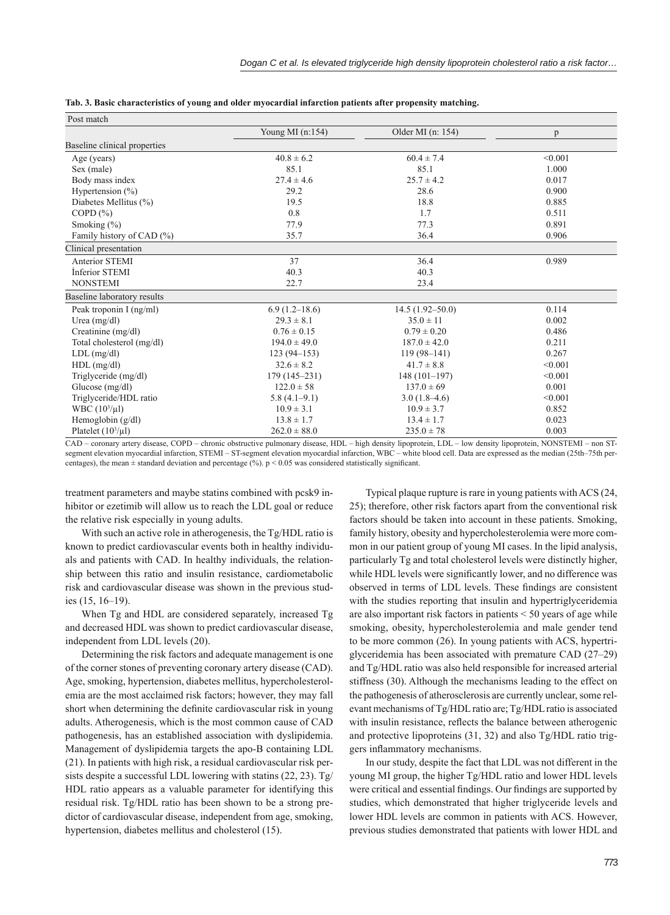| Post match                   |                    |                     |         |
|------------------------------|--------------------|---------------------|---------|
|                              | Young MI $(n:154)$ | Older MI $(n: 154)$ | p       |
| Baseline clinical properties |                    |                     |         |
| Age (years)                  | $40.8 \pm 6.2$     | $60.4 \pm 7.4$      | < 0.001 |
| Sex (male)                   | 85.1               | 85.1                | 1.000   |
| Body mass index              | $27.4 \pm 4.6$     | $25.7 \pm 4.2$      | 0.017   |
| Hypertension $(\% )$         | 29.2               | 28.6                | 0.900   |
| Diabetes Mellitus (%)        | 19.5               | 18.8                | 0.885   |
| COPD $(\% )$                 | 0.8                | 1.7                 | 0.511   |
| Smoking $(\% )$              | 77.9               | 77.3                | 0.891   |
| Family history of CAD (%)    | 35.7               | 36.4                | 0.906   |
| Clinical presentation        |                    |                     |         |
| <b>Anterior STEMI</b>        | 37                 | 36.4                | 0.989   |
| Inferior STEMI               | 40.3               | 40.3                |         |
| <b>NONSTEMI</b>              | 22.7               | 23.4                |         |
| Baseline laboratory results  |                    |                     |         |
| Peak troponin I (ng/ml)      | $6.9(1.2-18.6)$    | $14.5(1.92 - 50.0)$ | 0.114   |
| Urea $(mg/dl)$               | $29.3 \pm 8.1$     | $35.0 \pm 11$       | 0.002   |
| Creatinine $(mg/dl)$         | $0.76 \pm 0.15$    | $0.79 \pm 0.20$     | 0.486   |
| Total cholesterol (mg/dl)    | $194.0 \pm 49.0$   | $187.0 \pm 42.0$    | 0.211   |
| $LDL$ (mg/dl)                | $123(94 - 153)$    | $119(98-141)$       | 0.267   |
| $HDL$ (mg/dl)                | $32.6 \pm 8.2$     | $41.7 \pm 8.8$      | < 0.001 |
| Triglyceride (mg/dl)         | $179(145 - 231)$   | $148(101-197)$      | < 0.001 |
| Glucose $(mg/dl)$            | $122.0 \pm 58$     | $137.0 \pm 69$      | 0.001   |
| Triglyceride/HDL ratio       | $5.8(4.1-9.1)$     | $3.0(1.8-4.6)$      | < 0.001 |
| $WBC (103/\mu I)$            | $10.9 \pm 3.1$     | $10.9 \pm 3.7$      | 0.852   |
| Hemoglobin $(g/dl)$          | $13.8 \pm 1.7$     | $13.4 \pm 1.7$      | 0.023   |
| Platelet $(10^3/\mu l)$      | $262.0 \pm 88.0$   | $235.0 \pm 78$      | 0.003   |

**Tab. 3. Basic characteristics of young and older myocardial infarction patients after propensity matching.**

CAD – coronary artery disease, COPD – chronic obstructive pulmonary disease, HDL – high density lipoprotein, LDL – low density lipoprotein, NONSTEMI – non STsegment elevation myocardial infarction, STEMI – ST-segment elevation myocardial infarction, WBC – white blood cell. Data are expressed as the median (25th–75th percentages), the mean  $\pm$  standard deviation and percentage (%).  $p < 0.05$  was considered statistically significant.

treatment parameters and maybe statins combined with pcsk9 inhibitor or ezetimib will allow us to reach the LDL goal or reduce the relative risk especially in young adults.

With such an active role in atherogenesis, the Tg/HDL ratio is known to predict cardiovascular events both in healthy individuals and patients with CAD. In healthy individuals, the relationship between this ratio and insulin resistance, cardiometabolic risk and cardiovascular disease was shown in the previous studies (15, 16–19).

When Tg and HDL are considered separately, increased Tg and decreased HDL was shown to predict cardiovascular disease, independent from LDL levels (20).

Determining the risk factors and adequate management is one of the corner stones of preventing coronary artery disease (CAD). Age, smoking, hypertension, diabetes mellitus, hypercholesterolemia are the most acclaimed risk factors; however, they may fall short when determining the definite cardiovascular risk in young adults. Atherogenesis, which is the most common cause of CAD pathogenesis, has an established association with dyslipidemia. Management of dyslipidemia targets the apo-B containing LDL (21). In patients with high risk, a residual cardiovascular risk persists despite a successful LDL lowering with statins (22, 23). Tg/ HDL ratio appears as a valuable parameter for identifying this residual risk. Tg/HDL ratio has been shown to be a strong predictor of cardiovascular disease, independent from age, smoking, hypertension, diabetes mellitus and cholesterol (15).

Typical plaque rupture is rare in young patients with ACS (24, 25); therefore, other risk factors apart from the conventional risk factors should be taken into account in these patients. Smoking, family history, obesity and hypercholesterolemia were more common in our patient group of young MI cases. In the lipid analysis, particularly Tg and total cholesterol levels were distinctly higher, while HDL levels were significantly lower, and no difference was observed in terms of LDL levels. These findings are consistent with the studies reporting that insulin and hypertriglyceridemia are also important risk factors in patients < 50 years of age while smoking, obesity, hypercholesterolemia and male gender tend to be more common (26). In young patients with ACS, hypertriglyceridemia has been associated with premature CAD (27–29) and Tg/HDL ratio was also held responsible for increased arterial stiffness (30). Although the mechanisms leading to the effect on the pathogenesis of atherosclerosis are currently unclear, some relevant mechanisms of Tg/HDL ratio are; Tg/HDL ratio is associated with insulin resistance, reflects the balance between atherogenic and protective lipoproteins (31, 32) and also Tg/HDL ratio triggers inflammatory mechanisms.

In our study, despite the fact that LDL was not different in the young MI group, the higher Tg/HDL ratio and lower HDL levels were critical and essential findings. Our findings are supported by studies, which demonstrated that higher triglyceride levels and lower HDL levels are common in patients with ACS. However, previous studies demonstrated that patients with lower HDL and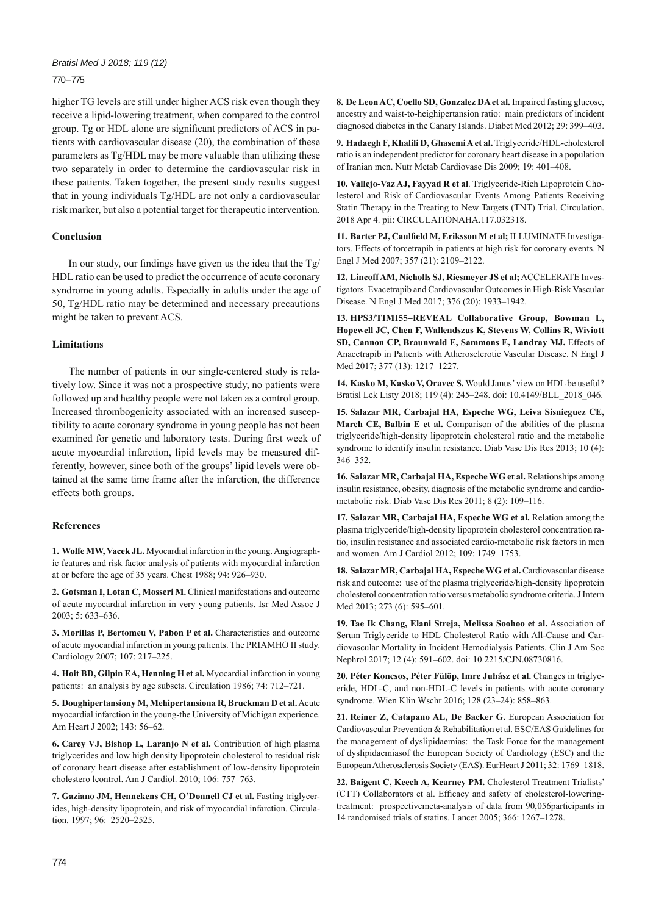## *Bratisl Med J 2018; 119 (12)*

## 770 – 775

higher TG levels are still under higher ACS risk even though they receive a lipid-lowering treatment, when compared to the control group. Tg or HDL alone are significant predictors of ACS in patients with cardiovascular disease (20), the combination of these parameters as Tg/HDL may be more valuable than utilizing these two separately in order to determine the cardiovascular risk in these patients. Taken together, the present study results suggest that in young individuals Tg/HDL are not only a cardiovascular risk marker, but also a potential target for therapeutic intervention.

# **Conclusion**

In our study, our findings have given us the idea that the  $Tg/$ HDL ratio can be used to predict the occurrence of acute coronary syndrome in young adults. Especially in adults under the age of 50, Tg/HDL ratio may be determined and necessary precautions might be taken to prevent ACS.

## **Limitations**

The number of patients in our single-centered study is relatively low. Since it was not a prospective study, no patients were followed up and healthy people were not taken as a control group. Increased thrombogenicity associated with an increased susceptibility to acute coronary syndrome in young people has not been examined for genetic and laboratory tests. During first week of acute myocardial infarction, lipid levels may be measured differently, however, since both of the groups' lipid levels were obtained at the same time frame after the infarction, the difference effects both groups.

# **References**

**1. Wolfe MW, Vacek JL.** Myocardial infarction in the young. Angiographic features and risk factor analysis of patients with myocardial infarction at or before the age of 35 years. Chest 1988; 94: 926–930.

**2. Gotsman I, Lotan C, Mosseri M.** Clinical manifestations and outcome of acute myocardial infarction in very young patients. Isr Med Assoc J 2003; 5: 633–636.

**3. Morillas P, Bertomeu V, Pabon P et al.** Characteristics and outcome of acute myocardial infarction in young patients. The PRIAMHO II study. Cardiology 2007; 107: 217–225.

**4. Hoit BD, Gilpin EA, Henning H et al.** Myocardial infarction in young patients: an analysis by age subsets. Circulation 1986; 74: 712–721.

**5. Doughipertansiony M, Mehipertansiona R, Bruckman D et al.** Acute myocardial infarction in the young-the University of Michigan experience. Am Heart J 2002; 143: 56–62.

**6. Carey VJ, Bishop L, Laranjo N et al.** Contribution of high plasma triglycerides and low high density lipoprotein cholesterol to residual risk of coronary heart disease after establishment of low-density lipoprotein cholestero lcontrol. Am J Cardiol. 2010; 106: 757–763.

**7. Gaziano JM, Hennekens CH, O'Donnell CJ et al.** Fasting triglycerides, high-density lipoprotein, and risk of myocardial infarction. Circulation. 1997; 96: 2520–2525.

**8. De Leon AC, Coello SD, Gonzalez DA et al.** Impaired fasting glucose, ancestry and waist-to-heighipertansion ratio: main predictors of incident diagnosed diabetes in the Canary Islands. Diabet Med 2012; 29: 399–403.

**9. Hadaegh F, Khalili D, Ghasemi A et al.** Triglyceride/HDL-cholesterol ratio is an independent predictor for coronary heart disease in a population of Iranian men. Nutr Metab Cardiovasc Dis 2009; 19: 401–408.

**10. Vallejo-Vaz AJ, Fayyad R et al**. Triglyceride-Rich Lipoprotein Cholesterol and Risk of Cardiovascular Events Among Patients Receiving Statin Therapy in the Treating to New Targets (TNT) Trial. Circulation. 2018 Apr 4. pii: CIRCULATIONAHA.117.032318.

11. Barter PJ, Caulfield M, Eriksson M et al; ILLUMINATE Investigators. Effects of torcetrapib in patients at high risk for coronary events. N Engl J Med 2007; 357 (21): 2109–2122.

**12. Lincoff AM, Nicholls SJ, Riesmeyer JS et al;** ACCELERATE Investigators. Evacetrapib and Cardiovascular Outcomes in High-Risk Vascular Disease. N Engl J Med 2017; 376 (20): 1933–1942.

**13. HPS3/TIMI55–REVEAL Collaborative Group, Bowman L, Hopewell JC, Chen F, Wallendszus K, Stevens W, Collins R, Wiviott SD, Cannon CP, Braunwald E, Sammons E, Landray MJ.** Effects of Anacetrapib in Patients with Atherosclerotic Vascular Disease. N Engl J Med 2017; 377 (13): 1217–1227.

**14. Kasko M, Kasko V, Oravec S.** Would Janus' view on HDL be useful? Bratisl Lek Listy 2018; 119 (4): 245–248. doi: 10.4149/BLL\_2018\_046.

**15. Salazar MR, Carbajal HA, Espeche WG, Leiva Sisnieguez CE,**  March CE, Balbin E et al. Comparison of the abilities of the plasma triglyceride/high-density lipoprotein cholesterol ratio and the metabolic syndrome to identify insulin resistance. Diab Vasc Dis Res 2013; 10 (4): 346–352.

**16. Salazar MR, Carbajal HA, Espeche WG et al.** Relationships among insulin resistance, obesity, diagnosis of the metabolic syndrome and cardiometabolic risk. Diab Vasc Dis Res 2011; 8 (2): 109–116.

**17. Salazar MR, Carbajal HA, Espeche WG et al.** Relation among the plasma triglyceride/high-density lipoprotein cholesterol concentration ratio, insulin resistance and associated cardio-metabolic risk factors in men and women. Am J Cardiol 2012; 109: 1749–1753.

18. Salazar MR, Carbajal HA, Espeche WG et al. Cardiovascular disease risk and outcome: use of the plasma triglyceride/high-density lipoprotein cholesterol concentration ratio versus metabolic syndrome criteria. J Intern Med 2013; 273 (6): 595–601.

**19. Tae Ik Chang, Elani Streja, Melissa Soohoo et al.** Association of Serum Triglyceride to HDL Cholesterol Ratio with All-Cause and Cardiovascular Mortality in Incident Hemodialysis Patients. Clin J Am Soc Nephrol 2017; 12 (4): 591–602. doi: 10.2215/CJN.08730816.

**20. Péter Koncsos, Péter Fülöp, Imre Juhász et al.** Changes in triglyceride, HDL-C, and non-HDL-C levels in patients with acute coronary syndrome. Wien Klin Wschr 2016; 128 (23–24): 858–863.

**21. Reiner Z, Catapano AL, De Backer G.** European Association for Cardiovascular Prevention & Rehabilitation et al. ESC/EAS Guidelines for the management of dyslipidaemias: the Task Force for the management of dyslipidaemiasof the European Society of Cardiology (ESC) and the European Atherosclerosis Society (EAS). EurHeart J 2011; 32: 1769–1818.

**22. Baigent C, Keech A, Kearney PM.** Cholesterol Treatment Trialists' (CTT) Collaborators et al. Efficacy and safety of cholesterol-loweringtreatment: prospectivemeta-analysis of data from 90,056participants in 14 randomised trials of statins. Lancet 2005; 366: 1267–1278.